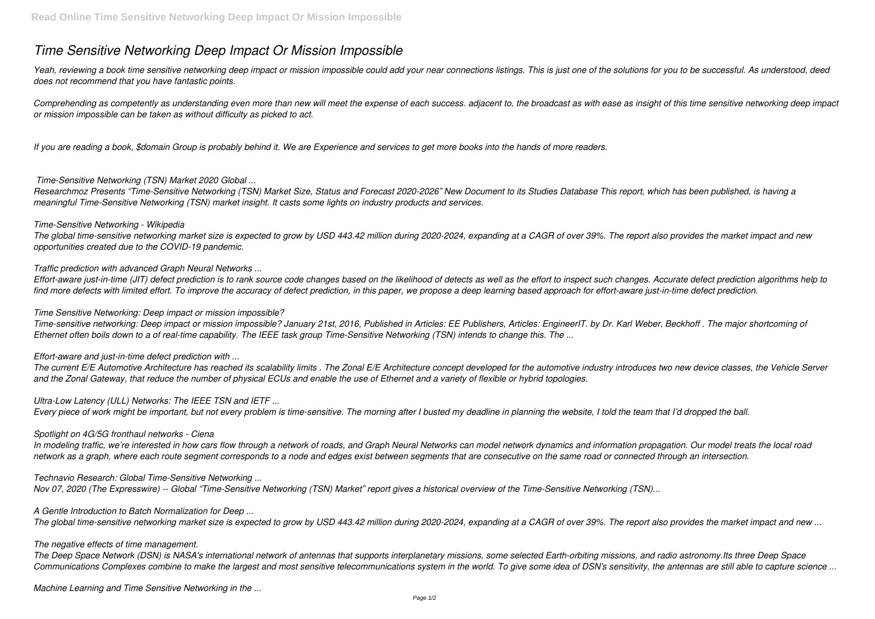# *Time Sensitive Networking Deep Impact Or Mission Impossible*

Yeah, reviewing a book time sensitive networking deep impact or mission impossible could add your near connections listings. This is just one of the solutions for you to be successful. As understood, deed *does not recommend that you have fantastic points.*

*Comprehending as competently as understanding even more than new will meet the expense of each success. adjacent to, the broadcast as with ease as insight of this time sensitive networking deep impact or mission impossible can be taken as without difficulty as picked to act.*

*If you are reading a book, \$domain Group is probably behind it. We are Experience and services to get more books into the hands of more readers.*

# *Time-Sensitive Networking (TSN) Market 2020 Global ...*

*Researchmoz Presents "Time-Sensitive Networking (TSN) Market Size, Status and Forecast 2020-2026" New Document to its Studies Database This report, which has been published, is having a meaningful Time-Sensitive Networking (TSN) market insight. It casts some lights on industry products and services.*

### *Time-Sensitive Networking - Wikipedia*

*The global time-sensitive networking market size is expected to grow by USD 443.42 million during 2020-2024, expanding at a CAGR of over 39%. The report also provides the market impact and new opportunities created due to the COVID-19 pandemic.*

*Traffic prediction with advanced Graph Neural Networks ...*

*Effort-aware just-in-time (JIT) defect prediction is to rank source code changes based on the likelihood of detects as well as the effort to inspect such changes. Accurate defect prediction algorithms help to find more defects with limited effort. To improve the accuracy of defect prediction, in this paper, we propose a deep learning based approach for effort-aware just-in-time defect prediction.*

*Time Sensitive Networking: Deep impact or mission impossible?*

*Time-sensitive networking: Deep impact or mission impossible? January 21st, 2016, Published in Articles: EE Publishers, Articles: EngineerIT. by Dr. Karl Weber, Beckhoff . The major shortcoming of Ethernet often boils down to a of real-time capability. The IEEE task group Time-Sensitive Networking (TSN) intends to change this. The ...*

*Effort-aware and just-in-time defect prediction with ...*

*The current E/E Automotive Architecture has reached its scalability limits . The Zonal E/E Architecture concept developed for the automotive industry introduces two new device classes, the Vehicle Server and the Zonal Gateway, that reduce the number of physical ECUs and enable the use of Ethernet and a variety of flexible or hybrid topologies.*

*Ultra-Low Latency (ULL) Networks: The IEEE TSN and IETF ...*

*Every piece of work might be important, but not every problem is time-sensitive. The morning after I busted my deadline in planning the website, I told the team that I'd dropped the ball.*

### *Spotlight on 4G/5G fronthaul networks - Ciena*

*In modeling traffic, we're interested in how cars flow through a network of roads, and Graph Neural Networks can model network dynamics and information propagation. Our model treats the local road network as a graph, where each route segment corresponds to a node and edges exist between segments that are consecutive on the same road or connected through an intersection.*

*Technavio Research: Global Time-Sensitive Networking ...*

*Nov 07, 2020 (The Expresswire) -- Global "Time-Sensitive Networking (TSN) Market" report gives a historical overview of the Time-Sensitive Networking (TSN)...*

*A Gentle Introduction to Batch Normalization for Deep ...*

*The global time-sensitive networking market size is expected to grow by USD 443.42 million during 2020-2024, expanding at a CAGR of over 39%. The report also provides the market impact and new ...*

### *The negative effects of time management.*

*The Deep Space Network (DSN) is NASA's international network of antennas that supports interplanetary missions, some selected Earth-orbiting missions, and radio astronomy.Its three Deep Space Communications Complexes combine to make the largest and most sensitive telecommunications system in the world. To give some idea of DSN's sensitivity, the antennas are still able to capture science ...*

*Machine Learning and Time Sensitive Networking in the ...*